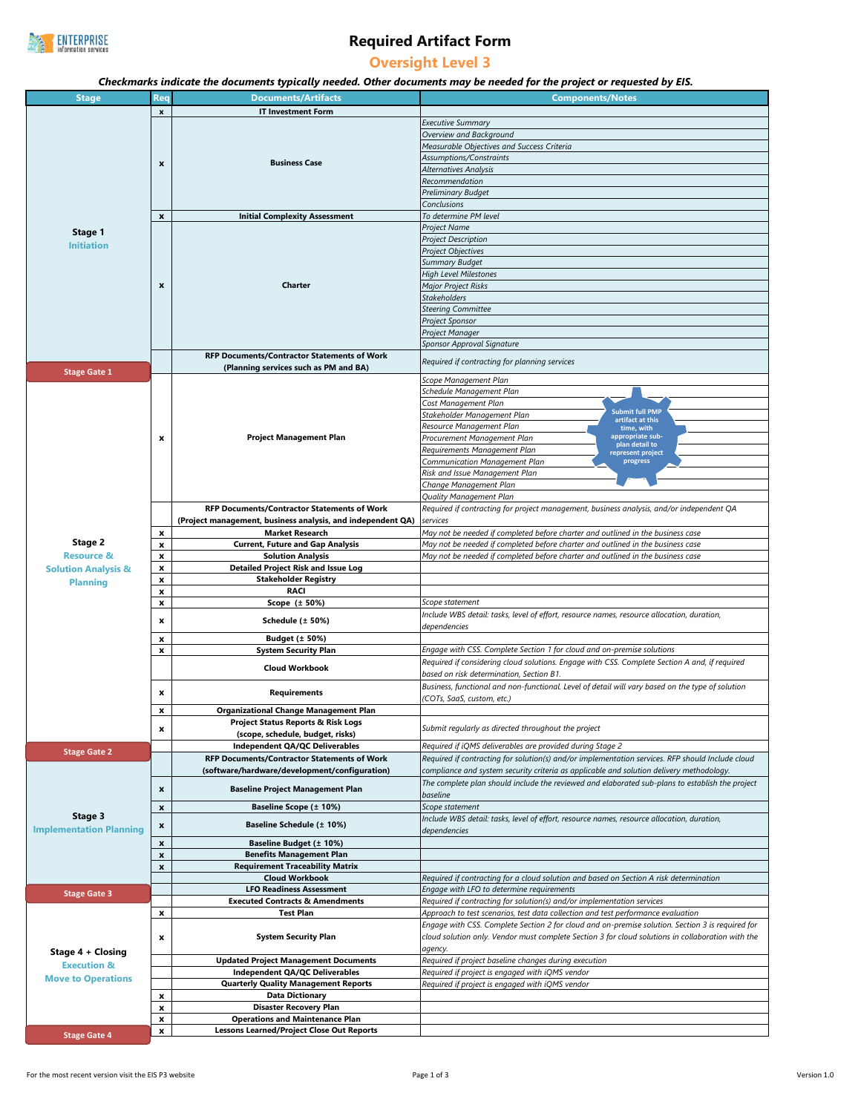

### **Required Artifact Form**

**Oversight Level 3**

|                                |                    |                                                             | Checkmarks indicate the documents typically needed. Other documents may be needed for the project or requested by EIS. |
|--------------------------------|--------------------|-------------------------------------------------------------|------------------------------------------------------------------------------------------------------------------------|
| <b>Stage</b>                   | Rea                | <b>Documents/Artifacts</b>                                  | <b>Components/Notes</b>                                                                                                |
|                                | $\pmb{\mathsf{x}}$ | <b>IT Investment Form</b>                                   |                                                                                                                        |
|                                |                    |                                                             | <b>Executive Summary</b>                                                                                               |
|                                |                    |                                                             | Overview and Background                                                                                                |
|                                |                    |                                                             | Measurable Objectives and Success Criteria                                                                             |
|                                | $\pmb{\mathsf{x}}$ | <b>Business Case</b>                                        | Assumptions/Constraints                                                                                                |
|                                |                    |                                                             | <b>Alternatives Analysis</b>                                                                                           |
|                                |                    |                                                             | Recommendation                                                                                                         |
|                                |                    |                                                             | <b>Preliminary Budget</b>                                                                                              |
|                                |                    |                                                             | Conclusions                                                                                                            |
|                                | x                  | <b>Initial Complexity Assessment</b>                        | To determine PM level                                                                                                  |
|                                |                    |                                                             | Project Name                                                                                                           |
| Stage 1                        |                    | Charter                                                     | <b>Project Description</b>                                                                                             |
| <b>Initiation</b>              |                    |                                                             | <b>Project Objectives</b>                                                                                              |
|                                |                    |                                                             | <b>Summary Budget</b>                                                                                                  |
|                                |                    |                                                             | <b>High Level Milestones</b>                                                                                           |
|                                | x                  |                                                             | <b>Major Project Risks</b>                                                                                             |
|                                |                    |                                                             | <b>Stakeholders</b>                                                                                                    |
|                                |                    |                                                             | <b>Steering Committee</b>                                                                                              |
|                                |                    |                                                             | Project Sponsor                                                                                                        |
|                                |                    |                                                             | Project Manager                                                                                                        |
|                                |                    |                                                             | Sponsor Approval Signature                                                                                             |
|                                |                    | <b>RFP Documents/Contractor Statements of Work</b>          |                                                                                                                        |
|                                |                    | (Planning services such as PM and BA)                       | Required if contracting for planning services                                                                          |
| <b>Stage Gate 1</b>            |                    |                                                             | Scope Management Plan                                                                                                  |
|                                |                    |                                                             | Schedule Management Plan                                                                                               |
|                                |                    | <b>Project Management Plan</b>                              | Cost Management Plan                                                                                                   |
|                                |                    |                                                             | <b>Submit full PMP</b><br>Stakeholder Management Plan                                                                  |
|                                |                    |                                                             | artifact at this<br>Resource Management Plan                                                                           |
|                                | x                  |                                                             | time, with<br>appropriate sub-                                                                                         |
|                                |                    |                                                             | Procurement Management Plan<br>plan detail to<br>Requirements Management Plan                                          |
|                                |                    |                                                             | represent project<br><b>Communication Management Plan</b>                                                              |
|                                |                    |                                                             | progress                                                                                                               |
|                                |                    |                                                             | Risk and Issue Management Plan                                                                                         |
|                                |                    |                                                             | Change Management Plan                                                                                                 |
|                                |                    |                                                             | <b>Quality Management Plan</b>                                                                                         |
|                                |                    | RFP Documents/Contractor Statements of Work                 | Required if contracting for project management, business analysis, and/or independent QA                               |
|                                |                    | (Project management, business analysis, and independent QA) | services                                                                                                               |
| Stage 2                        | x                  | <b>Market Research</b>                                      | May not be needed if completed before charter and outlined in the business case                                        |
|                                | $\pmb{\mathsf{x}}$ | <b>Current, Future and Gap Analysis</b>                     | May not be needed if completed before charter and outlined in the business case                                        |
| <b>Resource &amp;</b>          | $\pmb{\mathsf{x}}$ | <b>Solution Analysis</b>                                    | May not be needed if completed before charter and outlined in the business case                                        |
| <b>Solution Analysis &amp;</b> | x                  | <b>Detailed Project Risk and Issue Log</b>                  |                                                                                                                        |
| <b>Planning</b>                | $\pmb{\mathsf{x}}$ | <b>Stakeholder Registry</b>                                 |                                                                                                                        |
|                                | x                  | RACI                                                        |                                                                                                                        |
|                                | $\pmb{\mathsf{x}}$ | Scope $(\pm 50\%)$                                          | Scope statement                                                                                                        |
|                                | x                  | Schedule $(\pm 50\%)$                                       | Include WBS detail: tasks, level of effort, resource names, resource allocation, duration,                             |
|                                |                    |                                                             | dependencies                                                                                                           |
|                                | $\pmb{\mathsf{x}}$ | <b>Budget (± 50%)</b>                                       |                                                                                                                        |
|                                | x                  | <b>System Security Plan</b>                                 | Engage with CSS. Complete Section 1 for cloud and on-premise solutions                                                 |
|                                |                    | <b>Cloud Workbook</b>                                       | Required if considering cloud solutions. Engage with CSS. Complete Section A and, if required                          |
|                                |                    |                                                             | based on risk determination, Section B1.                                                                               |
|                                | x                  | <b>Requirements</b>                                         | Business, functional and non-functional. Level of detail will vary based on the type of solution                       |
|                                |                    |                                                             | (COTs, SaaS, custom, etc.)                                                                                             |
|                                | х                  | <b>Organizational Change Management Plan</b>                |                                                                                                                        |
|                                | x                  | Project Status Reports & Risk Logs                          | Submit regularly as directed throughout the project                                                                    |
|                                |                    | (scope, schedule, budget, risks)                            |                                                                                                                        |
| <b>Stage Gate 2</b>            |                    | Independent QA/QC Deliverables                              | Required if iQMS deliverables are provided during Stage 2                                                              |
|                                |                    | <b>RFP Documents/Contractor Statements of Work</b>          | Required if contracting for solution(s) and/or implementation services. RFP should Include cloud                       |
|                                |                    | (software/hardware/development/configuration)               | compliance and system security criteria as applicable and solution delivery methodology.                               |
|                                | x                  | Baseline Project Management Plan                            | The complete plan should include the reviewed and elaborated sub-plans to establish the project                        |
|                                |                    |                                                             | baseline                                                                                                               |
|                                | x                  | Baseline Scope (± 10%)                                      | Scope statement                                                                                                        |
| Stage 3                        |                    |                                                             | Include WBS detail: tasks, level of effort, resource names, resource allocation, duration,                             |
| <b>Implementation Planning</b> | x                  | Baseline Schedule (± 10%)                                   | dependencies                                                                                                           |
|                                | $\pmb{\mathsf{x}}$ | Baseline Budget (± 10%)                                     |                                                                                                                        |
|                                | $\pmb{\mathsf{x}}$ | <b>Benefits Management Plan</b>                             |                                                                                                                        |
|                                | $\pmb{\mathsf{x}}$ | <b>Requirement Traceability Matrix</b>                      |                                                                                                                        |
|                                |                    | <b>Cloud Workbook</b>                                       | Required if contracting for a cloud solution and based on Section A risk determination                                 |
|                                |                    | <b>LFO Readiness Assessment</b>                             | Engage with LFO to determine requirements                                                                              |
| <b>Stage Gate 3</b>            |                    | <b>Executed Contracts &amp; Amendments</b>                  | Required if contracting for solution(s) and/or implementation services                                                 |
|                                | x                  | <b>Test Plan</b>                                            | Approach to test scenarios, test data collection and test performance evaluation                                       |
|                                |                    |                                                             | Engage with CSS. Complete Section 2 for cloud and on-premise solution. Section 3 is required for                       |
|                                | x                  | <b>System Security Plan</b>                                 | cloud solution only. Vendor must complete Section 3 for cloud solutions in collaboration with the                      |
|                                |                    |                                                             | agency.                                                                                                                |
| Stage 4 + Closing              |                    |                                                             |                                                                                                                        |
| <b>Execution &amp;</b>         |                    | <b>Updated Project Management Documents</b>                 | Required if project baseline changes during execution                                                                  |
| <b>Move to Operations</b>      |                    | Independent QA/QC Deliverables                              | Required if project is engaged with iQMS vendor                                                                        |
|                                |                    | <b>Quarterly Quality Management Reports</b>                 | Required if project is engaged with iQMS vendor                                                                        |
|                                | $\pmb{\mathsf{x}}$ | <b>Data Dictionary</b>                                      |                                                                                                                        |
|                                | $\pmb{\mathsf{x}}$ | <b>Disaster Recovery Plan</b>                               |                                                                                                                        |
|                                | x                  | <b>Operations and Maintenance Plan</b>                      |                                                                                                                        |
| <b>Stage Gate 4</b>            | x                  | <b>Lessons Learned/Project Close Out Reports</b>            |                                                                                                                        |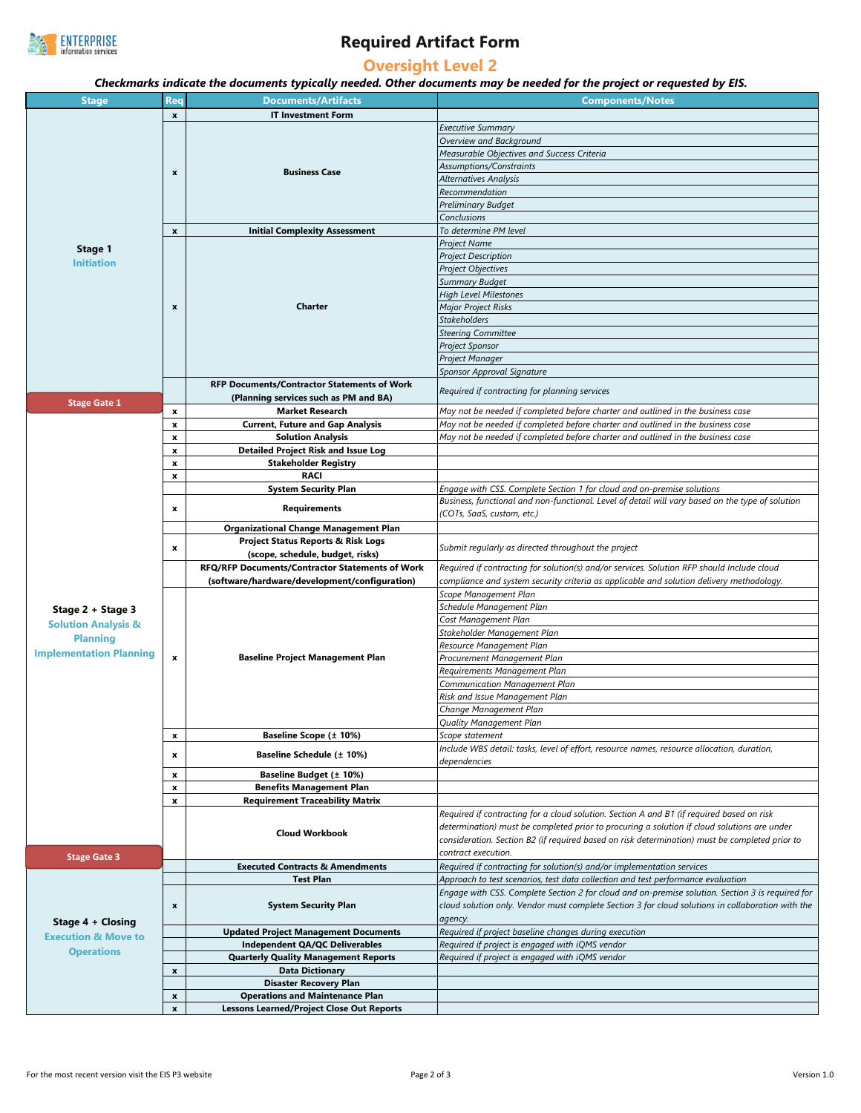

# **Required Artifact Form**

### **Oversight Level 2**

*Checkmarks indicate the documents typically needed. Other documents may be needed for the project or requested by EIS.* 

| <b>Stage</b>                   | Rea                       | <b>Documents/Artifacts</b>                       | <b>Components/Notes</b>                                                                           |
|--------------------------------|---------------------------|--------------------------------------------------|---------------------------------------------------------------------------------------------------|
|                                | $\pmb{\chi}$              | <b>IT Investment Form</b>                        |                                                                                                   |
|                                |                           | <b>Business Case</b>                             | <b>Executive Summary</b>                                                                          |
|                                |                           |                                                  | Overview and Background                                                                           |
|                                | x                         |                                                  | Measurable Objectives and Success Criteria                                                        |
|                                |                           |                                                  | <b>Assumptions/Constraints</b>                                                                    |
|                                |                           |                                                  | <b>Alternatives Analysis</b>                                                                      |
|                                |                           |                                                  |                                                                                                   |
|                                |                           |                                                  | Recommendation                                                                                    |
|                                |                           |                                                  | <b>Preliminary Budget</b>                                                                         |
|                                |                           |                                                  | Conclusions                                                                                       |
|                                | $\pmb{\chi}$              | <b>Initial Complexity Assessment</b>             | To determine PM level                                                                             |
|                                |                           |                                                  | Project Name                                                                                      |
| Stage 1                        | $\pmb{\mathsf{x}}$        | Charter                                          | <b>Project Description</b>                                                                        |
| <b>Initiation</b>              |                           |                                                  | <b>Project Objectives</b>                                                                         |
|                                |                           |                                                  | <b>Summary Budget</b>                                                                             |
|                                |                           |                                                  | <b>High Level Milestones</b>                                                                      |
|                                |                           |                                                  |                                                                                                   |
|                                |                           |                                                  | <b>Major Project Risks</b>                                                                        |
|                                |                           |                                                  | <b>Stakeholders</b>                                                                               |
|                                |                           |                                                  | <b>Steering Committee</b>                                                                         |
|                                |                           |                                                  | Project Sponsor                                                                                   |
|                                |                           |                                                  | Project Manager                                                                                   |
|                                |                           |                                                  | Sponsor Approval Signature                                                                        |
|                                |                           | RFP Documents/Contractor Statements of Work      |                                                                                                   |
|                                |                           | (Planning services such as PM and BA)            | Required if contracting for planning services                                                     |
| <b>Stage Gate 1</b>            | $\pmb{\mathsf{x}}$        | <b>Market Research</b>                           | May not be needed if completed before charter and outlined in the business case                   |
|                                | $\pmb{\mathsf{x}}$        | <b>Current, Future and Gap Analysis</b>          | May not be needed if completed before charter and outlined in the business case                   |
|                                | $\pmb{\mathsf{x}}$        | <b>Solution Analysis</b>                         | May not be needed if completed before charter and outlined in the business case                   |
|                                | $\pmb{\mathsf{x}}$        | <b>Detailed Project Risk and Issue Log</b>       |                                                                                                   |
|                                | $\pmb{\mathsf{x}}$        | <b>Stakeholder Registry</b>                      |                                                                                                   |
|                                | $\pmb{\mathsf{x}}$        | RACI                                             |                                                                                                   |
|                                |                           |                                                  | Engage with CSS. Complete Section 1 for cloud and on-premise solutions                            |
|                                |                           | <b>System Security Plan</b>                      | Business, functional and non-functional. Level of detail will vary based on the type of solution  |
|                                | x                         | Requirements                                     | (COTs, SaaS, custom, etc.)                                                                        |
|                                |                           |                                                  |                                                                                                   |
|                                |                           | <b>Organizational Change Management Plan</b>     |                                                                                                   |
|                                | x                         | Project Status Reports & Risk Logs               | Submit regularly as directed throughout the project                                               |
|                                |                           | (scope, schedule, budget, risks)                 |                                                                                                   |
|                                |                           | RFQ/RFP Documents/Contractor Statements of Work  | Required if contracting for solution(s) and/or services. Solution RFP should Include cloud        |
|                                |                           | (software/hardware/development/configuration)    | compliance and system security criteria as applicable and solution delivery methodology.          |
|                                |                           | <b>Baseline Project Management Plan</b>          | Scope Management Plan                                                                             |
| Stage 2 + Stage 3              | $\pmb{\mathsf{x}}$        |                                                  | Schedule Management Plan                                                                          |
| <b>Solution Analysis &amp;</b> |                           |                                                  | Cost Management Plan                                                                              |
| <b>Planning</b>                |                           |                                                  | Stakeholder Management Plan                                                                       |
|                                |                           |                                                  | Resource Management Plan                                                                          |
| <b>Implementation Planning</b> |                           |                                                  | Procurement Management Plan                                                                       |
|                                |                           |                                                  | Requirements Management Plan                                                                      |
|                                |                           |                                                  | Communication Management Plan                                                                     |
|                                |                           |                                                  | Risk and Issue Management Plan                                                                    |
|                                |                           |                                                  | Change Management Plan                                                                            |
|                                |                           |                                                  | Quality Management Plan                                                                           |
|                                | x                         | Baseline Scope (± 10%)                           | Scope statement                                                                                   |
|                                |                           |                                                  | Include WBS detail: tasks, level of effort, resource names, resource allocation, duration,        |
|                                | x                         | Baseline Schedule (± 10%)                        | dependencies                                                                                      |
|                                | x                         | Baseline Budget (± 10%)                          |                                                                                                   |
|                                | $\boldsymbol{\mathsf{x}}$ | <b>Benefits Management Plan</b>                  |                                                                                                   |
|                                | x                         | <b>Requirement Traceability Matrix</b>           |                                                                                                   |
|                                |                           |                                                  | Required if contracting for a cloud solution. Section A and B1 (if required based on risk         |
|                                |                           |                                                  |                                                                                                   |
|                                |                           | <b>Cloud Workbook</b>                            | determination) must be completed prior to procuring a solution if cloud solutions are under       |
|                                |                           |                                                  | consideration. Section B2 (if required based on risk determination) must be completed prior to    |
| <b>Stage Gate 3</b>            |                           |                                                  | contract execution.                                                                               |
|                                |                           | <b>Executed Contracts &amp; Amendments</b>       | Required if contracting for solution(s) and/or implementation services                            |
| Stage 4 + Closing              |                           | <b>Test Plan</b>                                 | Approach to test scenarios, test data collection and test performance evaluation                  |
|                                |                           |                                                  | Engage with CSS. Complete Section 2 for cloud and on-premise solution. Section 3 is required for  |
|                                | x                         | <b>System Security Plan</b>                      | cloud solution only. Vendor must complete Section 3 for cloud solutions in collaboration with the |
|                                |                           |                                                  | agency.                                                                                           |
| <b>Execution &amp; Move to</b> |                           | <b>Updated Project Management Documents</b>      | Required if project baseline changes during execution                                             |
|                                |                           | <b>Independent QA/QC Deliverables</b>            | Required if project is engaged with iQMS vendor                                                   |
| <b>Operations</b>              |                           | <b>Quarterly Quality Management Reports</b>      | Required if project is engaged with iQMS vendor                                                   |
|                                | $\pmb{\mathsf{x}}$        | <b>Data Dictionary</b>                           |                                                                                                   |
|                                |                           | <b>Disaster Recovery Plan</b>                    |                                                                                                   |
|                                | $\pmb{\mathsf{x}}$        | <b>Operations and Maintenance Plan</b>           |                                                                                                   |
|                                | $\boldsymbol{\mathsf{x}}$ | <b>Lessons Learned/Project Close Out Reports</b> |                                                                                                   |
|                                |                           |                                                  |                                                                                                   |